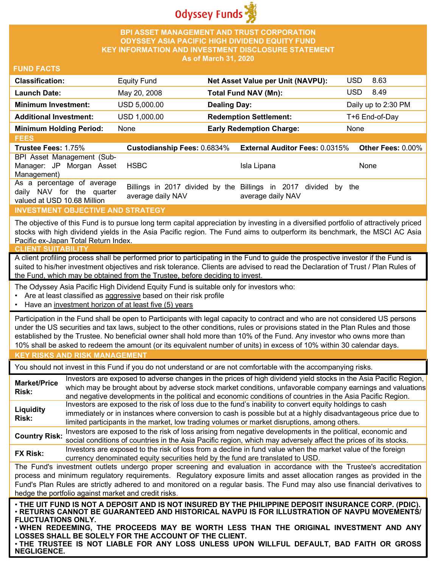

#### **BPI ASSET MANAGEMENT AND TRUST CORPORATION ODYSSEY ASIA PACIFIC HIGH DIVIDEND EQUITY FUND KEY INFORMATION AND INVESTMENT DISCLOSURE STATEMENT As of March 31, 2020**

#### **FUND FACTS**

| <b>Classification:</b>         | <b>Equity Fund</b>                 | <b>Net Asset Value per Unit (NAVPU):</b> | <b>USD</b><br>8.63  |
|--------------------------------|------------------------------------|------------------------------------------|---------------------|
| <b>Launch Date:</b>            | May 20, 2008                       | <b>Total Fund NAV (Mn):</b>              | 8.49<br><b>USD</b>  |
| <b>Minimum Investment:</b>     | USD 5,000.00                       | <b>Dealing Day:</b>                      | Daily up to 2:30 PM |
| <b>Additional Investment:</b>  | USD 1,000.00                       | <b>Redemption Settlement:</b>            | T+6 End-of-Day      |
| <b>Minimum Holding Period:</b> | None                               | <b>Early Redemption Charge:</b>          | None                |
| <b>FEES</b>                    |                                    |                                          |                     |
| <b>Trustee Fees: 1.75%</b>     | <b>Custodianship Fees: 0.6834%</b> | <b>External Auditor Fees: 0.0315%</b>    | Other Fees: 0.00%   |
| BPI Asset Management (Sub-     |                                    |                                          |                     |
| Manager: JP<br>Morgan<br>Asset | <b>HSBC</b>                        | Isla Lipana                              | None                |
| Management)                    |                                    |                                          |                     |

As a percentage of average daily NAV for the quarter valued at USD 10.68 Million Billings in 2017 divided by the Billings in 2017 divided by the average daily NAV average daily NAV

### **INVESTMENT OBJECTIVE AND STRATEGY**

The objective of this Fund is to pursue long term capital appreciation by investing in a diversified portfolio of attractively priced stocks with high dividend yields in the Asia Pacific region. The Fund aims to outperform its benchmark, the MSCI AC Asia Pacific ex-Japan Total Return Index.

#### **CLIENT SUITABILITY**

A client profiling process shall be performed prior to participating in the Fund to guide the prospective investor if the Fund is suited to his/her investment objectives and risk tolerance. Clients are advised to read the Declaration of Trust / Plan Rules of the Fund, which may be obtained from the Trustee, before deciding to invest.

The Odyssey Asia Pacific High Dividend Equity Fund is suitable only for investors who:

- Are at least classified as aggressive based on their risk profile
- Have an investment horizon of at least five (5) years

Participation in the Fund shall be open to Participants with legal capacity to contract and who are not considered US persons under the US securities and tax laws, subject to the other conditions, rules or provisions stated in the Plan Rules and those established by the Trustee. No beneficial owner shall hold more than 10% of the Fund. Any investor who owns more than 10% shall be asked to redeem the amount (or its equivalent number of units) in excess of 10% within 30 calendar days.

# **KEY RISKS AND RISK MANAGEMENT**

You should not invest in this Fund if you do not understand or are not comfortable with the accompanying risks.

**Market/Price Risk:** Investors are exposed to adverse changes in the prices of high dividend yield stocks in the Asia Pacific Region, which may be brought about by adverse stock market conditions, unfavorable company earnings and valuations and negative developments in the political and economic conditions of countries in the Asia Pacific Region. **Liquidity Risk:** Investors are exposed to the risk of loss due to the fund's inability to convert equity holdings to cash immediately or in instances where conversion to cash is possible but at a highly disadvantageous price due to limited participants in the market, low trading volumes or market disruptions, among others.

**Country Risk:** Investors are exposed to the risk of loss arising from negative developments in the political, economic and social conditions of countries in the Asia Pacific region, which may adversely affect the prices of its stocks. **FX Risk:** Investors are exposed to the risk of loss from a decline in fund value when the market value of the foreign

currency denominated equity securities held by the fund are translated to USD.

The Fund's investment outlets undergo proper screening and evaluation in accordance with the Trustee's accreditation process and minimum regulatory requirements. Regulatory exposure limits and asset allocation ranges as provided in the Fund's Plan Rules are strictly adhered to and monitored on a regular basis. The Fund may also use financial derivatives to hedge the portfolio against market and credit risks.

. THE UIT FUND IS NOT A DEPOSIT AND IS NOT INSURED BY THE PHILIPPINE DEPOSIT INSURANCE CORP. (PDIC).<br>. RETURNS CANNOT BE GUARANTEED AND HISTORICAL NAVPU IS FOR ILLUSTRATION OF NAVPU MOVEMENTS∕ **FLUCTUATIONS ONLY.**

• **WHEN REDEEMING, THE PROCEEDS MAY BE WORTH LESS THAN THE ORIGINAL INVESTMENT AND ANY LOSSES SHALL BE SOLELY FOR THE ACCOUNT OF THE CLIENT.**

• **THE TRUSTEE IS NOT LIABLE FOR ANY LOSS UNLESS UPON WILLFUL DEFAULT, BAD FAITH OR GROSS NEGLIGENCE.**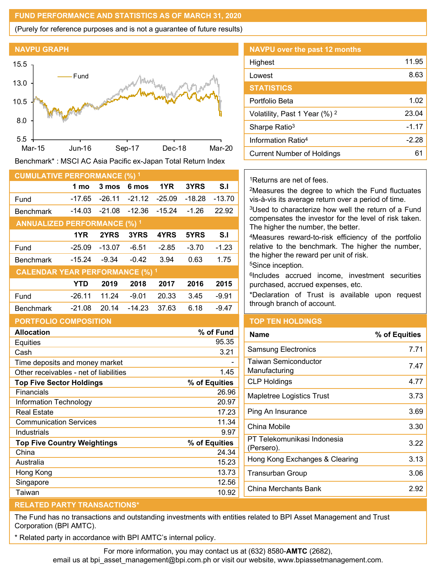### **FUND PERFORMANCE AND STATISTICS AS OF MARCH 31, 2020**

(Purely for reference purposes and is not a guarantee of future results)



Benchmark\* : MSCI AC Asia Pacific ex-Japan Total Return Index

| <b>CUMULATIVE PERFORMANCE (%) 1</b>    |            |          |          |          |          |          |
|----------------------------------------|------------|----------|----------|----------|----------|----------|
|                                        | 1 mo       | 3 mos    | 6 mos    | 1YR      | 3YRS     | S.I      |
| Fund                                   | -17.65     | $-26.11$ | $-21.12$ | $-25.09$ | $-18.28$ | $-13.70$ |
| <b>Benchmark</b>                       | $-14.03$   | $-21.08$ | $-12.36$ | $-15.24$ | $-1.26$  | 22.92    |
| <b>ANNUALIZED PERFORMANCE (%) 1</b>    |            |          |          |          |          |          |
|                                        | 1YR        | 2YRS     | 3YRS     | 4YRS     | 5YRS     | S.I      |
| Fund                                   | $-25.09$   | $-13.07$ | $-6.51$  | $-2.85$  | $-3.70$  | $-1.23$  |
| <b>Benchmark</b>                       | $-15.24$   | $-9.34$  | $-0.42$  | 3.94     | 0.63     | 1.75     |
| <b>CALENDAR YEAR PERFORMANCE (%) 1</b> |            |          |          |          |          |          |
|                                        | <b>YTD</b> | 2019     | 2018     | 2017     | 2016     | 2015     |
| Fund                                   | $-26.11$   | 11.24    | $-9.01$  | 20.33    | 3.45     | -9.91    |
| <b>Benchmark</b>                       | $-21.08$   | 20.14    | $-14.23$ | 37.63    | 6.18     | $-9.47$  |
| <b>PORTFOLIO COMPOSITION</b>           |            |          |          |          |          |          |
| <b>Allocation</b><br>% of Fund         |            |          |          |          |          |          |
| Equities                               |            |          |          |          |          | 95.35    |

| Allutatiuli                            | 70 VI I UIIU  |
|----------------------------------------|---------------|
| Equities                               | 95.35         |
| Cash                                   | 3.21          |
| Time deposits and money market         |               |
| Other receivables - net of liabilities | 1.45          |
| <b>Top Five Sector Holdings</b>        | % of Equities |
| Financials                             | 26.96         |
| Information Technology                 | 20.97         |
| <b>Real Estate</b>                     | 17.23         |
| <b>Communication Services</b>          | 11.34         |
| Industrials                            | 9.97          |
| <b>Top Five Country Weightings</b>     | % of Equities |
| China                                  | 24.34         |
| Australia                              | 15.23         |
| Hong Kong                              | 13.73         |
| Singapore                              | 12.56         |
| Taiwan                                 | 10.92         |

| <b>NAVPU</b> over the past 12 months     |         |
|------------------------------------------|---------|
| Highest                                  | 11.95   |
| Lowest                                   | 8.63    |
| <b>STATISTICS</b>                        |         |
| Portfolio Beta                           | 1.02    |
| Volatility, Past 1 Year (%) <sup>2</sup> | 23.04   |
| Sharpe Ratio <sup>3</sup>                | $-1.17$ |
| Information Ratio <sup>4</sup>           | $-2.28$ |
| <b>Current Number of Holdings</b>        | 61      |

1Returns are net of fees.

2Measures the degree to which the Fund fluctuates vis-à-vis its average return over a period of time.

3Used to characterize how well the return of a Fund compensates the investor for the level of risk taken. The higher the number, the better.

4Measures reward-to-risk efficiency of the portfolio relative to the benchmark. The higher the number, the higher the reward per unit of risk.

5Since inception.

6Includes accrued income, investment securities purchased, accrued expenses, etc.

\*Declaration of Trust is available upon request through branch of account.

# **TOP TEN HOLDINGS**

| Name                                         | % of Equities |
|----------------------------------------------|---------------|
| <b>Samsung Electronics</b>                   | 7.71          |
| <b>Taiwan Semiconductor</b><br>Manufacturing | 7.47          |
| <b>CLP Holdings</b>                          | 4.77          |
| Mapletree Logistics Trust                    | 3.73          |
| Ping An Insurance                            | 3.69          |
| China Mobile                                 | 3.30          |
| PT Telekomunikasi Indonesia<br>(Persero).    | 3.22          |
| Hong Kong Exchanges & Clearing               | 3.13          |
| Transurban Group                             | 3.06          |
| China Merchants Bank                         | 2.92          |
|                                              |               |

# **RELATED PARTY TRANSACTIONS\***

The Fund has no transactions and outstanding investments with entities related to BPI Asset Management and Trust Corporation (BPI AMTC).

Related party in accordance with BPI AMTC's internal policy.

For more information, you may contact us at (632) 8580-**AMTC** (2682),

email us at bpi\_asset\_management@bpi.com.ph or visit our website, www.bpiassetmanagement.com.